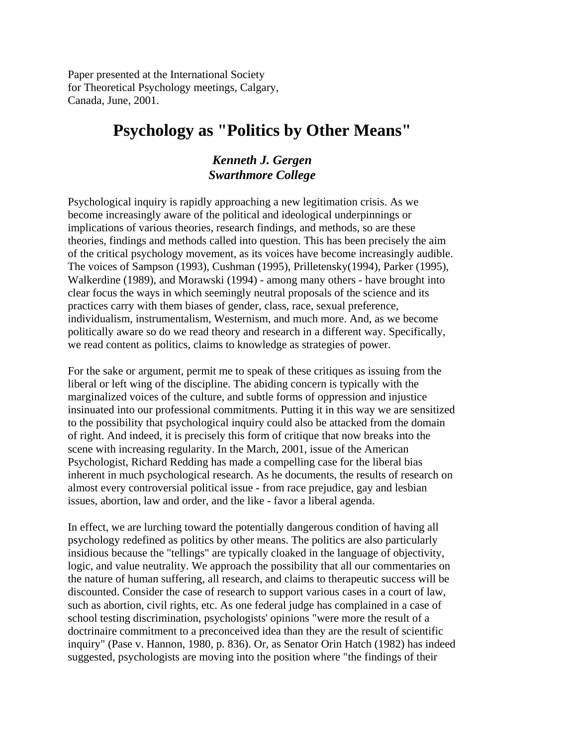Paper presented at the International Society for Theoretical Psychology meetings, Calgary, Canada, June, 2001.

# **Psychology as "Politics by Other Means"**

# *Kenneth J. Gergen Swarthmore College*

Psychological inquiry is rapidly approaching a new legitimation crisis. As we become increasingly aware of the political and ideological underpinnings or implications of various theories, research findings, and methods, so are these theories, findings and methods called into question. This has been precisely the aim of the critical psychology movement, as its voices have become increasingly audible. The voices of Sampson (1993), Cushman (1995), Prilletensky(1994), Parker (1995), Walkerdine (1989), and Morawski (1994) - among many others - have brought into clear focus the ways in which seemingly neutral proposals of the science and its practices carry with them biases of gender, class, race, sexual preference, individualism, instrumentalism, Westernism, and much more. And, as we become politically aware so do we read theory and research in a different way. Specifically, we read content as politics, claims to knowledge as strategies of power.

For the sake or argument, permit me to speak of these critiques as issuing from the liberal or left wing of the discipline. The abiding concern is typically with the marginalized voices of the culture, and subtle forms of oppression and injustice insinuated into our professional commitments. Putting it in this way we are sensitized to the possibility that psychological inquiry could also be attacked from the domain of right. And indeed, it is precisely this form of critique that now breaks into the scene with increasing regularity. In the March, 2001, issue of the American Psychologist, Richard Redding has made a compelling case for the liberal bias inherent in much psychological research. As he documents, the results of research on almost every controversial political issue - from race prejudice, gay and lesbian issues, abortion, law and order, and the like - favor a liberal agenda.

In effect, we are lurching toward the potentially dangerous condition of having all psychology redefined as politics by other means. The politics are also particularly insidious because the "tellings" are typically cloaked in the language of objectivity, logic, and value neutrality. We approach the possibility that all our commentaries on the nature of human suffering, all research, and claims to therapeutic success will be discounted. Consider the case of research to support various cases in a court of law, such as abortion, civil rights, etc. As one federal judge has complained in a case of school testing discrimination, psychologists' opinions "were more the result of a doctrinaire commitment to a preconceived idea than they are the result of scientific inquiry" (Pase v. Hannon, 1980, p. 836). Or, as Senator Orin Hatch (1982) has indeed suggested, psychologists are moving into the position where "the findings of their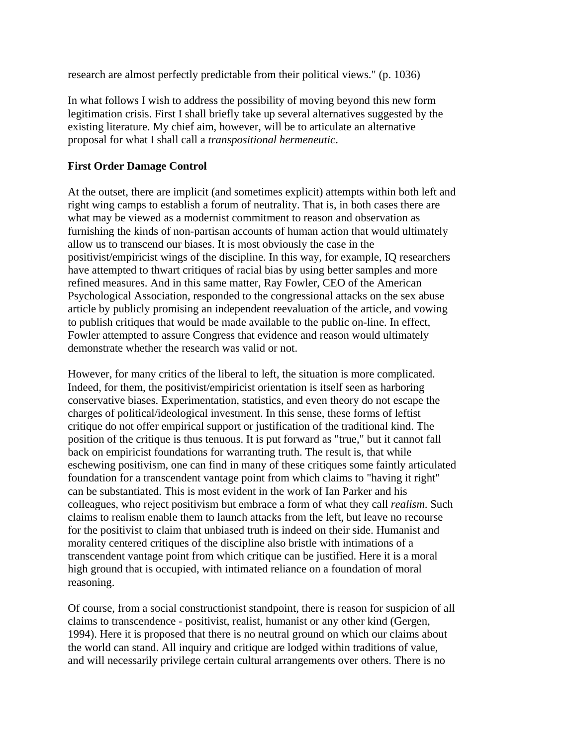research are almost perfectly predictable from their political views." (p. 1036)

In what follows I wish to address the possibility of moving beyond this new form legitimation crisis. First I shall briefly take up several alternatives suggested by the existing literature. My chief aim, however, will be to articulate an alternative proposal for what I shall call a *transpositional hermeneutic*.

## **First Order Damage Control**

At the outset, there are implicit (and sometimes explicit) attempts within both left and right wing camps to establish a forum of neutrality. That is, in both cases there are what may be viewed as a modernist commitment to reason and observation as furnishing the kinds of non-partisan accounts of human action that would ultimately allow us to transcend our biases. It is most obviously the case in the positivist/empiricist wings of the discipline. In this way, for example, IQ researchers have attempted to thwart critiques of racial bias by using better samples and more refined measures. And in this same matter, Ray Fowler, CEO of the American Psychological Association, responded to the congressional attacks on the sex abuse article by publicly promising an independent reevaluation of the article, and vowing to publish critiques that would be made available to the public on-line. In effect, Fowler attempted to assure Congress that evidence and reason would ultimately demonstrate whether the research was valid or not.

However, for many critics of the liberal to left, the situation is more complicated. Indeed, for them, the positivist/empiricist orientation is itself seen as harboring conservative biases. Experimentation, statistics, and even theory do not escape the charges of political/ideological investment. In this sense, these forms of leftist critique do not offer empirical support or justification of the traditional kind. The position of the critique is thus tenuous. It is put forward as "true," but it cannot fall back on empiricist foundations for warranting truth. The result is, that while eschewing positivism, one can find in many of these critiques some faintly articulated foundation for a transcendent vantage point from which claims to "having it right" can be substantiated. This is most evident in the work of Ian Parker and his colleagues, who reject positivism but embrace a form of what they call *realism*. Such claims to realism enable them to launch attacks from the left, but leave no recourse for the positivist to claim that unbiased truth is indeed on their side. Humanist and morality centered critiques of the discipline also bristle with intimations of a transcendent vantage point from which critique can be justified. Here it is a moral high ground that is occupied, with intimated reliance on a foundation of moral reasoning.

Of course, from a social constructionist standpoint, there is reason for suspicion of all claims to transcendence - positivist, realist, humanist or any other kind (Gergen, 1994). Here it is proposed that there is no neutral ground on which our claims about the world can stand. All inquiry and critique are lodged within traditions of value, and will necessarily privilege certain cultural arrangements over others. There is no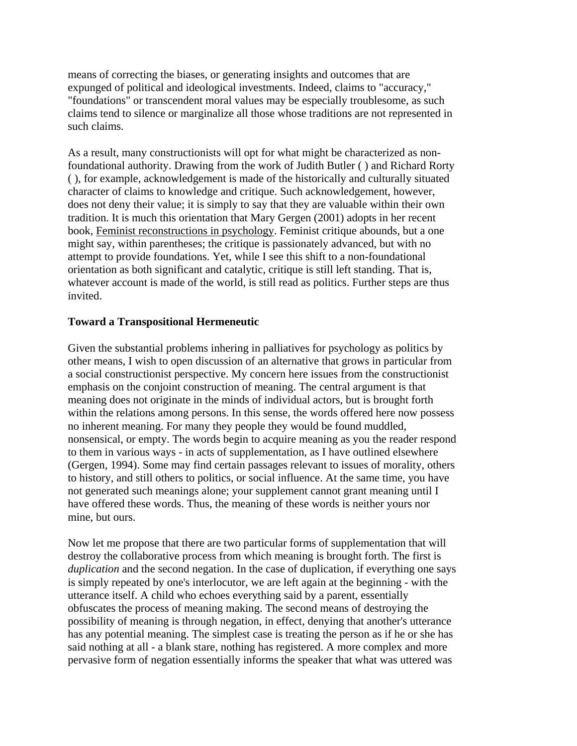means of correcting the biases, or generating insights and outcomes that are expunged of political and ideological investments. Indeed, claims to "accuracy," "foundations" or transcendent moral values may be especially troublesome, as such claims tend to silence or marginalize all those whose traditions are not represented in such claims.

As a result, many constructionists will opt for what might be characterized as nonfoundational authority. Drawing from the work of Judith Butler ( ) and Richard Rorty ( ), for example, acknowledgement is made of the historically and culturally situated character of claims to knowledge and critique. Such acknowledgement, however, does not deny their value; it is simply to say that they are valuable within their own tradition. It is much this orientation that Mary Gergen (2001) adopts in her recent book, Feminist reconstructions in psychology. Feminist critique abounds, but a one might say, within parentheses; the critique is passionately advanced, but with no attempt to provide foundations. Yet, while I see this shift to a non-foundational orientation as both significant and catalytic, critique is still left standing. That is, whatever account is made of the world, is still read as politics. Further steps are thus invited.

### **Toward a Transpositional Hermeneutic**

Given the substantial problems inhering in palliatives for psychology as politics by other means, I wish to open discussion of an alternative that grows in particular from a social constructionist perspective. My concern here issues from the constructionist emphasis on the conjoint construction of meaning. The central argument is that meaning does not originate in the minds of individual actors, but is brought forth within the relations among persons. In this sense, the words offered here now possess no inherent meaning. For many they people they would be found muddled, nonsensical, or empty. The words begin to acquire meaning as you the reader respond to them in various ways - in acts of supplementation, as I have outlined elsewhere (Gergen, 1994). Some may find certain passages relevant to issues of morality, others to history, and still others to politics, or social influence. At the same time, you have not generated such meanings alone; your supplement cannot grant meaning until I have offered these words. Thus, the meaning of these words is neither yours nor mine, but ours.

Now let me propose that there are two particular forms of supplementation that will destroy the collaborative process from which meaning is brought forth. The first is *duplication* and the second negation. In the case of duplication, if everything one says is simply repeated by one's interlocutor, we are left again at the beginning - with the utterance itself. A child who echoes everything said by a parent, essentially obfuscates the process of meaning making. The second means of destroying the possibility of meaning is through negation, in effect, denying that another's utterance has any potential meaning. The simplest case is treating the person as if he or she has said nothing at all - a blank stare, nothing has registered. A more complex and more pervasive form of negation essentially informs the speaker that what was uttered was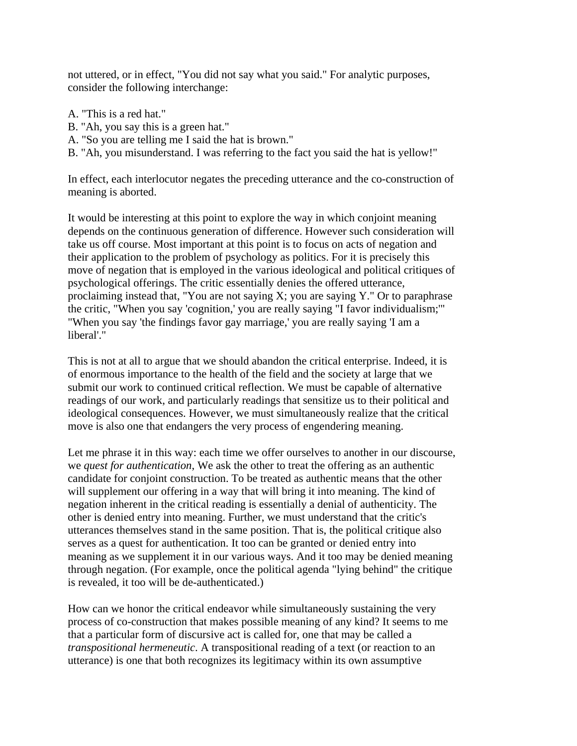not uttered, or in effect, "You did not say what you said." For analytic purposes, consider the following interchange:

- A. "This is a red hat."
- B. "Ah, you say this is a green hat."
- A. "So you are telling me I said the hat is brown."
- B. "Ah, you misunderstand. I was referring to the fact you said the hat is yellow!"

In effect, each interlocutor negates the preceding utterance and the co-construction of meaning is aborted.

It would be interesting at this point to explore the way in which conjoint meaning depends on the continuous generation of difference. However such consideration will take us off course. Most important at this point is to focus on acts of negation and their application to the problem of psychology as politics. For it is precisely this move of negation that is employed in the various ideological and political critiques of psychological offerings. The critic essentially denies the offered utterance, proclaiming instead that, "You are not saying X; you are saying Y." Or to paraphrase the critic, "When you say 'cognition,' you are really saying "I favor individualism;'" "When you say 'the findings favor gay marriage,' you are really saying 'I am a liberal'."

This is not at all to argue that we should abandon the critical enterprise. Indeed, it is of enormous importance to the health of the field and the society at large that we submit our work to continued critical reflection. We must be capable of alternative readings of our work, and particularly readings that sensitize us to their political and ideological consequences. However, we must simultaneously realize that the critical move is also one that endangers the very process of engendering meaning.

Let me phrase it in this way: each time we offer ourselves to another in our discourse, we *quest for authentication*, We ask the other to treat the offering as an authentic candidate for conjoint construction. To be treated as authentic means that the other will supplement our offering in a way that will bring it into meaning. The kind of negation inherent in the critical reading is essentially a denial of authenticity. The other is denied entry into meaning. Further, we must understand that the critic's utterances themselves stand in the same position. That is, the political critique also serves as a quest for authentication. It too can be granted or denied entry into meaning as we supplement it in our various ways. And it too may be denied meaning through negation. (For example, once the political agenda "lying behind" the critique is revealed, it too will be de-authenticated.)

How can we honor the critical endeavor while simultaneously sustaining the very process of co-construction that makes possible meaning of any kind? It seems to me that a particular form of discursive act is called for, one that may be called a *transpositional hermeneutic*. A transpositional reading of a text (or reaction to an utterance) is one that both recognizes its legitimacy within its own assumptive